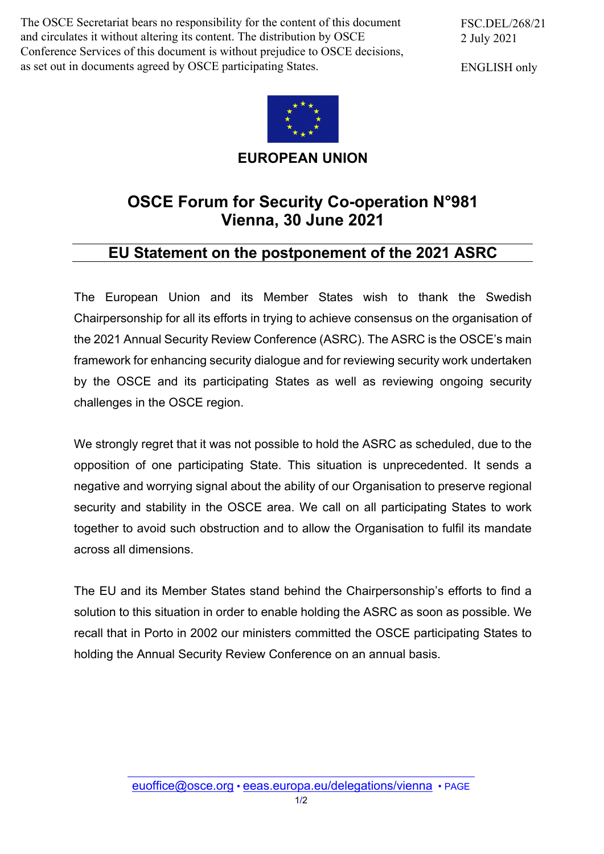The OSCE Secretariat bears no responsibility for the content of this document and circulates it without altering its content. The distribution by OSCE Conference Services of this document is without prejudice to OSCE decisions, as set out in documents agreed by OSCE participating States.

FSC.DEL/268/21 2 July 2021

ENGLISH only



**EUROPEAN UNION**

## **OSCE Forum for Security Co-operation N°981 Vienna, 30 June 2021**

## **EU Statement on the postponement of the 2021 ASRC**

The European Union and its Member States wish to thank the Swedish Chairpersonship for all its efforts in trying to achieve consensus on the organisation of the 2021 Annual Security Review Conference (ASRC). The ASRC is the OSCE's main framework for enhancing security dialogue and for reviewing security work undertaken by the OSCE and its participating States as well as reviewing ongoing security challenges in the OSCE region.

We strongly regret that it was not possible to hold the ASRC as scheduled, due to the opposition of one participating State. This situation is unprecedented. It sends a negative and worrying signal about the ability of our Organisation to preserve regional security and stability in the OSCE area. We call on all participating States to work together to avoid such obstruction and to allow the Organisation to fulfil its mandate across all dimensions.

The EU and its Member States stand behind the Chairpersonship's efforts to find a solution to this situation in order to enable holding the ASRC as soon as possible. We recall that in Porto in 2002 our ministers committed the OSCE participating States to holding the Annual Security Review Conference on an annual basis.